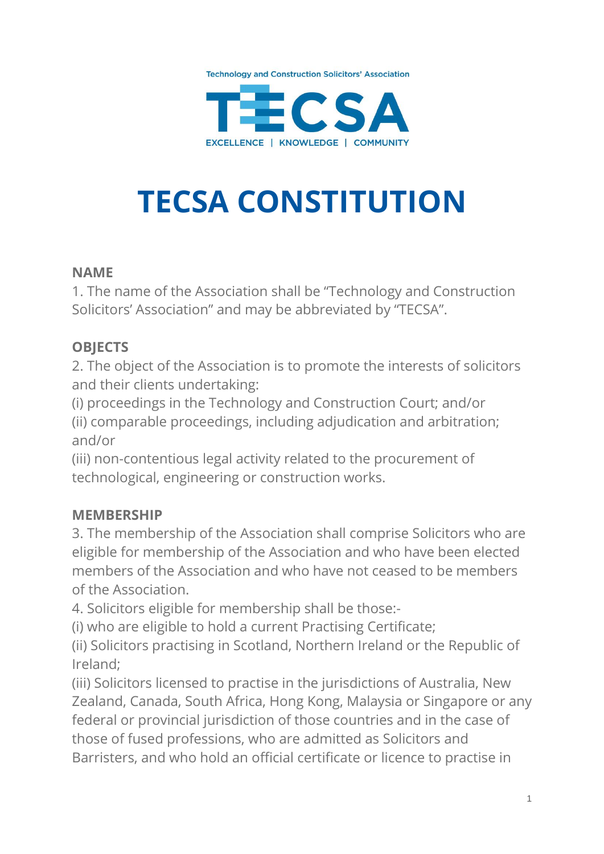



# **TECSA CONSTITUTION**

#### **NAME**

1. The name of the Association shall be "Technology and Construction Solicitors' Association" and may be abbreviated by "TECSA".

#### **OBJECTS**

2. The object of the Association is to promote the interests of solicitors and their clients undertaking:

(i) proceedings in the Technology and Construction Court; and/or (ii) comparable proceedings, including adjudication and arbitration; and/or

(iii) non-contentious legal activity related to the procurement of technological, engineering or construction works.

## **MEMBERSHIP**

3. The membership of the Association shall comprise Solicitors who are eligible for membership of the Association and who have been elected members of the Association and who have not ceased to be members of the Association.

4. Solicitors eligible for membership shall be those:-

(i) who are eligible to hold a current Practising Certificate;

(ii) Solicitors practising in Scotland, Northern Ireland or the Republic of Ireland;

(iii) Solicitors licensed to practise in the jurisdictions of Australia, New Zealand, Canada, South Africa, Hong Kong, Malaysia or Singapore or any federal or provincial jurisdiction of those countries and in the case of those of fused professions, who are admitted as Solicitors and Barristers, and who hold an official certificate or licence to practise in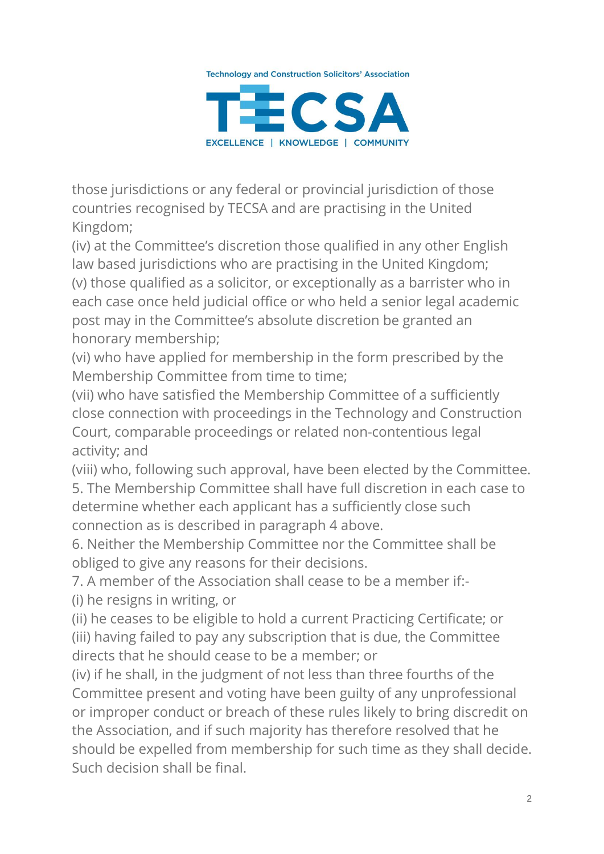

those jurisdictions or any federal or provincial jurisdiction of those countries recognised by TECSA and are practising in the United Kingdom;

(iv) at the Committee's discretion those qualified in any other English law based jurisdictions who are practising in the United Kingdom; (v) those qualified as a solicitor, or exceptionally as a barrister who in each case once held judicial office or who held a senior legal academic post may in the Committee's absolute discretion be granted an

honorary membership;

(vi) who have applied for membership in the form prescribed by the Membership Committee from time to time;

(vii) who have satisfied the Membership Committee of a sufficiently close connection with proceedings in the Technology and Construction Court, comparable proceedings or related non-contentious legal activity; and

(viii) who, following such approval, have been elected by the Committee. 5. The Membership Committee shall have full discretion in each case to determine whether each applicant has a sufficiently close such connection as is described in paragraph 4 above.

6. Neither the Membership Committee nor the Committee shall be obliged to give any reasons for their decisions.

7. A member of the Association shall cease to be a member if:- (i) he resigns in writing, or

(ii) he ceases to be eligible to hold a current Practicing Certificate; or (iii) having failed to pay any subscription that is due, the Committee directs that he should cease to be a member; or

(iv) if he shall, in the judgment of not less than three fourths of the Committee present and voting have been guilty of any unprofessional or improper conduct or breach of these rules likely to bring discredit on the Association, and if such majority has therefore resolved that he should be expelled from membership for such time as they shall decide. Such decision shall be final.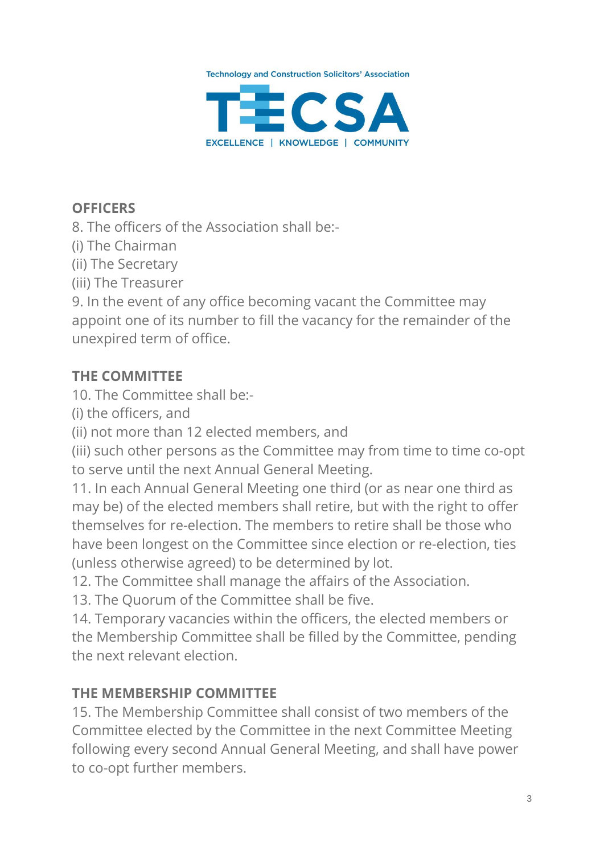

# **OFFICERS**

8. The officers of the Association shall be:-

(i) The Chairman

(ii) The Secretary

(iii) The Treasurer

9. In the event of any office becoming vacant the Committee may appoint one of its number to fill the vacancy for the remainder of the unexpired term of office.

#### **THE COMMITTEE**

10. The Committee shall be:-

(i) the officers, and

(ii) not more than 12 elected members, and

(iii) such other persons as the Committee may from time to time co-opt to serve until the next Annual General Meeting.

11. In each Annual General Meeting one third (or as near one third as may be) of the elected members shall retire, but with the right to offer themselves for re-election. The members to retire shall be those who have been longest on the Committee since election or re-election, ties (unless otherwise agreed) to be determined by lot.

12. The Committee shall manage the affairs of the Association.

13. The Quorum of the Committee shall be five.

14. Temporary vacancies within the officers, the elected members or the Membership Committee shall be filled by the Committee, pending the next relevant election.

## **THE MEMBERSHIP COMMITTEE**

15. The Membership Committee shall consist of two members of the Committee elected by the Committee in the next Committee Meeting following every second Annual General Meeting, and shall have power to co-opt further members.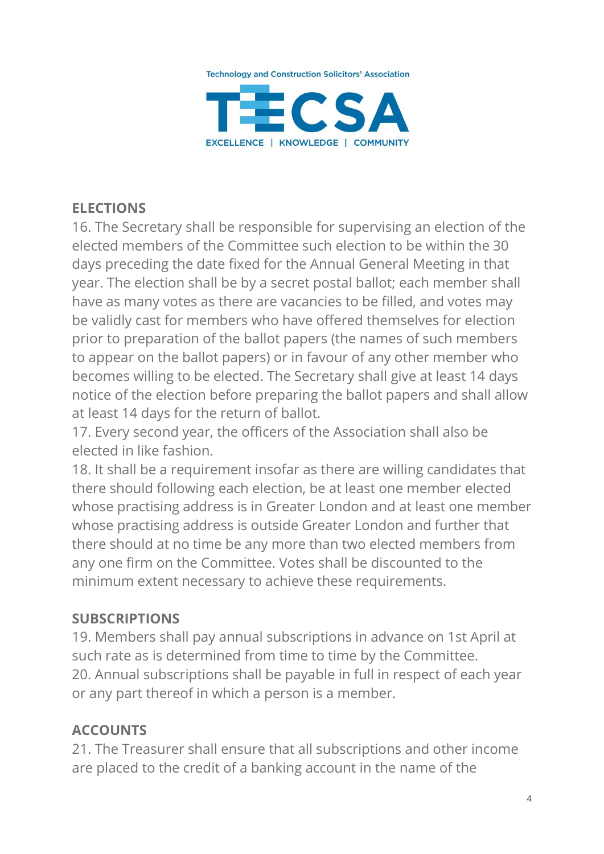

# **ELECTIONS**

16. The Secretary shall be responsible for supervising an election of the elected members of the Committee such election to be within the 30 days preceding the date fixed for the Annual General Meeting in that year. The election shall be by a secret postal ballot; each member shall have as many votes as there are vacancies to be filled, and votes may be validly cast for members who have offered themselves for election prior to preparation of the ballot papers (the names of such members to appear on the ballot papers) or in favour of any other member who becomes willing to be elected. The Secretary shall give at least 14 days notice of the election before preparing the ballot papers and shall allow at least 14 days for the return of ballot.

17. Every second year, the officers of the Association shall also be elected in like fashion.

18. It shall be a requirement insofar as there are willing candidates that there should following each election, be at least one member elected whose practising address is in Greater London and at least one member whose practising address is outside Greater London and further that there should at no time be any more than two elected members from any one firm on the Committee. Votes shall be discounted to the minimum extent necessary to achieve these requirements.

#### **SUBSCRIPTIONS**

19. Members shall pay annual subscriptions in advance on 1st April at such rate as is determined from time to time by the Committee. 20. Annual subscriptions shall be payable in full in respect of each year or any part thereof in which a person is a member.

## **ACCOUNTS**

21. The Treasurer shall ensure that all subscriptions and other income are placed to the credit of a banking account in the name of the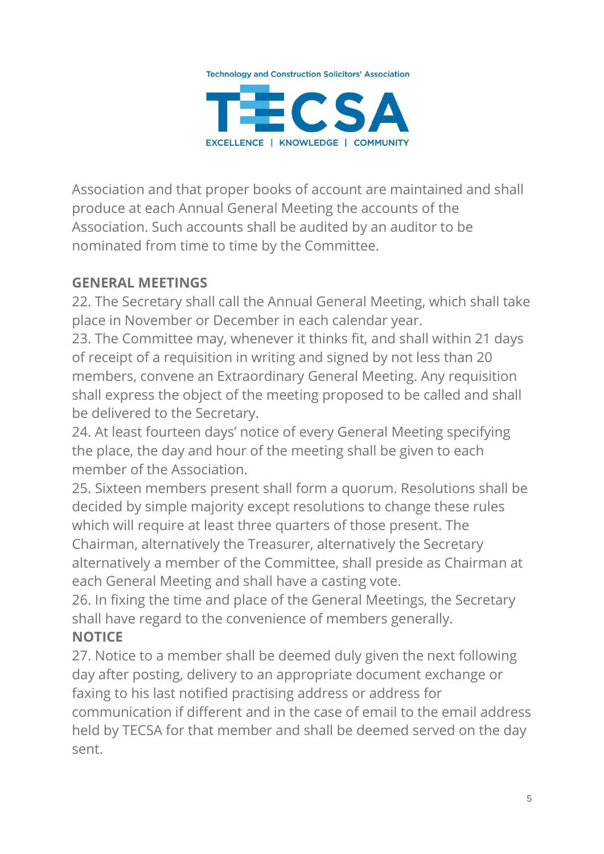

Association and that proper books of account are maintained and shall produce at each Annual General Meeting the accounts of the Association. Such accounts shall be audited by an auditor to be nominated from time to time by the Committee.

## **GENERAL MEETINGS**

22. The Secretary shall call the Annual General Meeting, which shall take place in November or December in each calendar year.

23. The Committee may, whenever it thinks fit, and shall within 21 days of receipt of a requisition in writing and signed by not less than 20 members, convene an Extraordinary General Meeting. Any requisition shall express the object of the meeting proposed to be called and shall be delivered to the Secretary.

24. At least fourteen days' notice of every General Meeting specifying the place, the day and hour of the meeting shall be given to each member of the Association.

25. Sixteen members present shall form a quorum. Resolutions shall be decided by simple majority except resolutions to change these rules which will require at least three quarters of those present. The Chairman, alternatively the Treasurer, alternatively the Secretary alternatively a member of the Committee, shall preside as Chairman at each General Meeting and shall have a casting vote.

26. In fixing the time and place of the General Meetings, the Secretary shall have regard to the convenience of members generally. **NOTICE**

27. Notice to a member shall be deemed duly given the next following day after posting, delivery to an appropriate document exchange or faxing to his last notified practising address or address for communication if different and in the case of email to the email address held by TECSA for that member and shall be deemed served on the day sent.